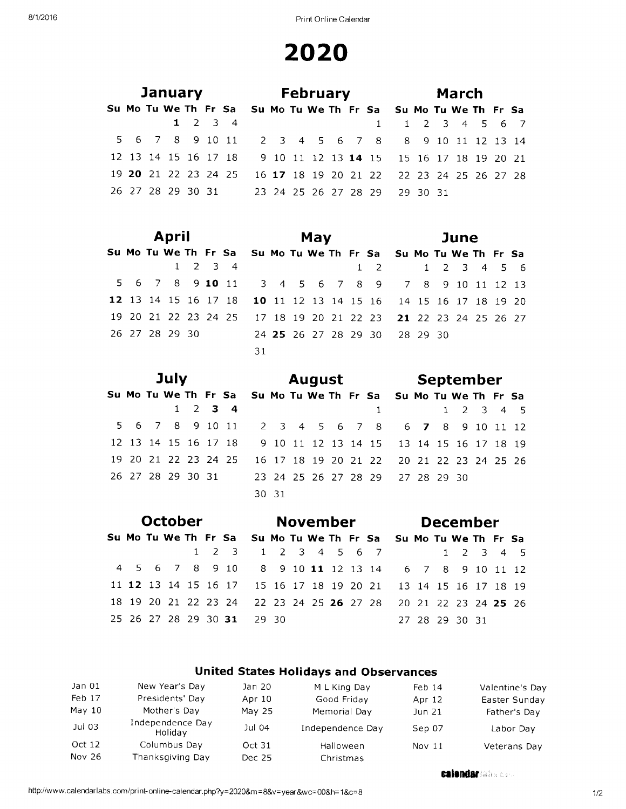|  |  |  |                 | January <b>February</b>                                        |  |  |  |                 |  | March |  |  |
|--|--|--|-----------------|----------------------------------------------------------------|--|--|--|-----------------|--|-------|--|--|
|  |  |  |                 | Su Mo Tu We Th Fr Sa Su Mo Tu We Th Fr Sa Su Mo Tu We Th Fr Sa |  |  |  |                 |  |       |  |  |
|  |  |  | $1 \t2 \t3 \t4$ |                                                                |  |  |  | 1 1 2 3 4 5 6 7 |  |       |  |  |
|  |  |  |                 | 5 6 7 8 9 10 11 2 3 4 5 6 7 8 8 9 10 11 12 13 14               |  |  |  |                 |  |       |  |  |
|  |  |  |                 | 12 13 14 15 16 17 18 9 10 11 12 13 14 15 15 16 17 18 19 20 21  |  |  |  |                 |  |       |  |  |
|  |  |  |                 | 19 20 21 22 23 24 25 16 17 18 19 20 21 22 22 23 24 25 26 27 28 |  |  |  |                 |  |       |  |  |
|  |  |  |                 | 26 27 28 29 30 31 23 24 25 26 27 28 29 29 30 31                |  |  |  |                 |  |       |  |  |

|  | <b>April</b>   |  |                 |                                                                |  | May |  |                               |  | June |  |  |
|--|----------------|--|-----------------|----------------------------------------------------------------|--|-----|--|-------------------------------|--|------|--|--|
|  |                |  |                 | Su Mo Tu We Th Fr Sa Su Mo Tu We Th Fr Sa Su Mo Tu We Th Fr Sa |  |     |  |                               |  |      |  |  |
|  |                |  | $1 \t2 \t3 \t4$ |                                                                |  |     |  | 1 2 1 2 3 4 5 6               |  |      |  |  |
|  |                |  |                 | 5 6 7 8 9 10 11 3 4 5 6 7 8 9 7 8 9 10 11 12 13                |  |     |  |                               |  |      |  |  |
|  |                |  |                 | 12 13 14 15 16 17 18 10 11 12 13 14 15 16 14 15 16 17 18 19 20 |  |     |  |                               |  |      |  |  |
|  |                |  |                 | 19 20 21 22 23 24 25 17 18 19 20 21 22 23 21 22 23 24 25 26 27 |  |     |  |                               |  |      |  |  |
|  | 26 27 28 29 30 |  |                 |                                                                |  |     |  | 24 25 26 27 28 29 30 28 29 30 |  |      |  |  |
|  |                |  |                 | 31                                                             |  |     |  |                               |  |      |  |  |

|  | July              |  |                      |                                                                |       |  |  |              | August September                          |  |           |  |  |
|--|-------------------|--|----------------------|----------------------------------------------------------------|-------|--|--|--------------|-------------------------------------------|--|-----------|--|--|
|  |                   |  |                      | Su Mo Tu We Th Fr Sa Su Mo Tu We Th Fr Sa Su Mo Tu We Th Fr Sa |       |  |  |              |                                           |  |           |  |  |
|  |                   |  | $1 \t2 \t3 \t4$      |                                                                |       |  |  | $\mathbf{1}$ |                                           |  | 1 2 3 4 5 |  |  |
|  |                   |  |                      | 5 6 7 8 9 10 11 2 3 4 5 6 7 8 6 7 8 9 10 11 12                 |       |  |  |              |                                           |  |           |  |  |
|  |                   |  |                      | 12 13 14 15 16 17 18 9 10 11 12 13 14 15 13 14 15 16 17 18 19  |       |  |  |              |                                           |  |           |  |  |
|  |                   |  | 19 20 21 22 23 24 25 |                                                                |       |  |  |              | 16 17 18 19 20 21 22 20 21 22 23 24 25 26 |  |           |  |  |
|  | 26 27 28 29 30 31 |  |                      |                                                                |       |  |  |              | 23 24 25 26 27 28 29 27 28 29 30          |  |           |  |  |
|  |                   |  |                      |                                                                | 30 31 |  |  |              |                                           |  |           |  |  |

|  |  |  | <b>October</b> |                                                                |  | November |  |  |  | <b>December</b> |  |  |
|--|--|--|----------------|----------------------------------------------------------------|--|----------|--|--|--|-----------------|--|--|
|  |  |  |                | Su Mo Tu We Th Fr Sa Su Mo Tu We Th Fr Sa Su Mo Tu We Th Fr Sa |  |          |  |  |  |                 |  |  |
|  |  |  |                | 1 2 3 1 2 3 4 5 6 7                                            |  |          |  |  |  | 1 2 3 4 5       |  |  |
|  |  |  |                | 4 5 6 7 8 9 10 8 9 10 11 12 13 14 6 7 8 9 10 11 12             |  |          |  |  |  |                 |  |  |
|  |  |  |                | 11 12 13 14 15 16 17 15 16 17 18 19 20 21 13 14 15 16 17 18 19 |  |          |  |  |  |                 |  |  |
|  |  |  |                | 18 19 20 21 22 23 24 22 23 24 25 26 27 28 20 21 22 23 24 25 26 |  |          |  |  |  |                 |  |  |
|  |  |  |                | 25 26 27 28 29 30 31 29 30                                     |  |          |  |  |  | 27 28 29 30 31  |  |  |

#### **United States Holidays and Observances**

| Jan 01   | New Year's Day              | Jan 20 | M L King Day     | Feb <sub>14</sub> | Valentine's Day |
|----------|-----------------------------|--------|------------------|-------------------|-----------------|
| Feb 17   | Presidents' Day             | Apr 10 | Good Friday      | Apr 12            | Easter Sunday   |
| May $10$ | Mother's Day                | May 25 | Memorial Day     | Jun 21            | Father's Day    |
| Jul 03   | Independence Day<br>Holiday | Jul 04 | Independence Day | Sep 07            | Labor Day       |
| Oct 12   | Columbus Day                | Oct 31 | Halloween        | Nov 11            | Veterans Day    |
| Nov 26   | Thanksgiving Day            | Dec 25 | Christmas        |                   |                 |

**calendar** take one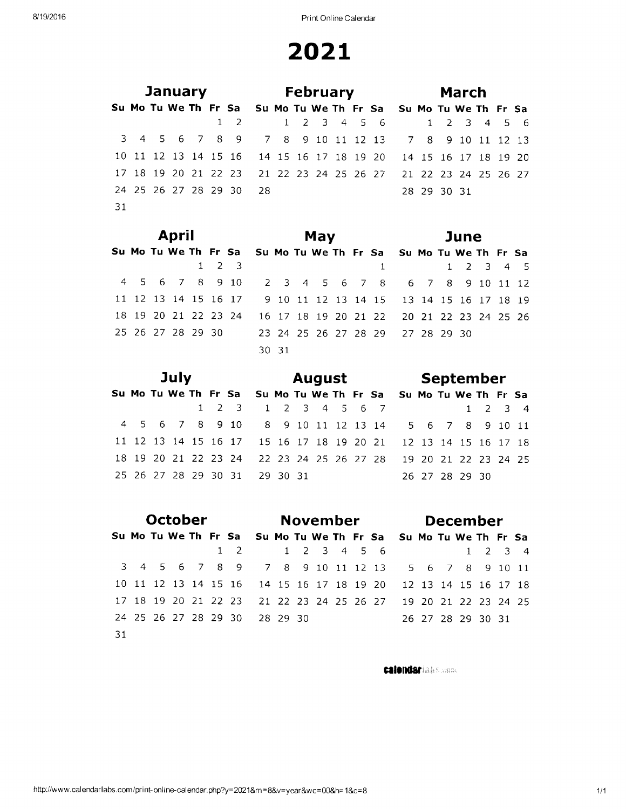|    |  |  | <b>January Example 1</b> |                                                                |  |  |  | <b>February Example 1</b> |             | March |  |  |
|----|--|--|--------------------------|----------------------------------------------------------------|--|--|--|---------------------------|-------------|-------|--|--|
|    |  |  |                          | Su Mo Tu We Th Fr Sa Su Mo Tu We Th Fr Sa Su Mo Tu We Th Fr Sa |  |  |  |                           |             |       |  |  |
|    |  |  |                          | 1 2 1 2 3 4 5 6 1 2 3 4 5 6                                    |  |  |  |                           |             |       |  |  |
|    |  |  |                          | 3 4 5 6 7 8 9 7 8 9 10 11 12 13 7 8 9 10 11 12 13              |  |  |  |                           |             |       |  |  |
|    |  |  |                          | 10 11 12 13 14 15 16 14 15 16 17 18 19 20 14 15 16 17 18 19 20 |  |  |  |                           |             |       |  |  |
|    |  |  |                          | 17 18 19 20 21 22 23 21 22 23 24 25 26 27 21 22 23 24 25 26 27 |  |  |  |                           |             |       |  |  |
|    |  |  |                          | 24 25 26 27 28 29 30 28                                        |  |  |  |                           | 28 29 30 31 |       |  |  |
| 31 |  |  |                          |                                                                |  |  |  |                           |             |       |  |  |

|  | April |  |                     |                                                                |       | May |  |  |  | June      |  |  |
|--|-------|--|---------------------|----------------------------------------------------------------|-------|-----|--|--|--|-----------|--|--|
|  |       |  |                     | Su Mo Tu We Th Fr Sa Su Mo Tu We Th Fr Sa Su Mo Tu We Th Fr Sa |       |     |  |  |  |           |  |  |
|  |       |  | $1 \quad 2 \quad 3$ |                                                                |       |     |  |  |  | 1 2 3 4 5 |  |  |
|  |       |  |                     | 4 5 6 7 8 9 10 2 3 4 5 6 7 8 6 7 8 9 10 11 12                  |       |     |  |  |  |           |  |  |
|  |       |  |                     | 11 12 13 14 15 16 17 9 10 11 12 13 14 15 13 14 15 16 17 18 19  |       |     |  |  |  |           |  |  |
|  |       |  |                     | 18 19 20 21 22 23 24 16 17 18 19 20 21 22 20 21 22 23 24 25 26 |       |     |  |  |  |           |  |  |
|  |       |  |                     | 25 26 27 28 29 30 23 24 25 26 27 28 29 27 28 29 30             |       |     |  |  |  |           |  |  |
|  |       |  |                     |                                                                | 30 31 |     |  |  |  |           |  |  |

|  | July |  |                                                                |  |  |  | <b>August</b> September |  |                |  |  |
|--|------|--|----------------------------------------------------------------|--|--|--|-------------------------|--|----------------|--|--|
|  |      |  | Su Mo Tu We Th Fr Sa Su Mo Tu We Th Fr Sa Su Mo Tu We Th Fr Sa |  |  |  |                         |  |                |  |  |
|  |      |  | 1 2 3 1 2 3 4 5 6 7                                            |  |  |  |                         |  | 1 2 3 4        |  |  |
|  |      |  | 4 5 6 7 8 9 10 8 9 10 11 12 13 14 5 6 7 8 9 10 11              |  |  |  |                         |  |                |  |  |
|  |      |  | 11 12 13 14 15 16 17 15 16 17 18 19 20 21 12 13 14 15 16 17 18 |  |  |  |                         |  |                |  |  |
|  |      |  | 18 19 20 21 22 23 24 22 23 24 25 26 27 28 19 20 21 22 23 24 25 |  |  |  |                         |  |                |  |  |
|  |      |  | 25 26 27 28 29 30 31 29 30 31                                  |  |  |  |                         |  | 26 27 28 29 30 |  |  |

|     |  | October |  |                                                                |  | November    |  |  |  | <b>December</b>   |                 |  |
|-----|--|---------|--|----------------------------------------------------------------|--|-------------|--|--|--|-------------------|-----------------|--|
|     |  |         |  | Su Mo Tu We Th Fr Sa Su Mo Tu We Th Fr Sa Su Mo Tu We Th Fr Sa |  |             |  |  |  |                   |                 |  |
|     |  |         |  | $1 \quad 2 \quad$                                              |  | 1 2 3 4 5 6 |  |  |  |                   | $1 \t2 \t3 \t4$ |  |
|     |  |         |  | 3 4 5 6 7 8 9 7 8 9 10 11 12 13 5 6 7 8 9 10 11                |  |             |  |  |  |                   |                 |  |
|     |  |         |  | 10 11 12 13 14 15 16 14 15 16 17 18 19 20 12 13 14 15 16 17 18 |  |             |  |  |  |                   |                 |  |
|     |  |         |  | 17 18 19 20 21 22 23 21 22 23 24 25 26 27 19 20 21 22 23 24 25 |  |             |  |  |  |                   |                 |  |
|     |  |         |  | 24 25 26 27 28 29 30 28 29 30                                  |  |             |  |  |  | 26 27 28 29 30 31 |                 |  |
| -31 |  |         |  |                                                                |  |             |  |  |  |                   |                 |  |

**calendarian Summe**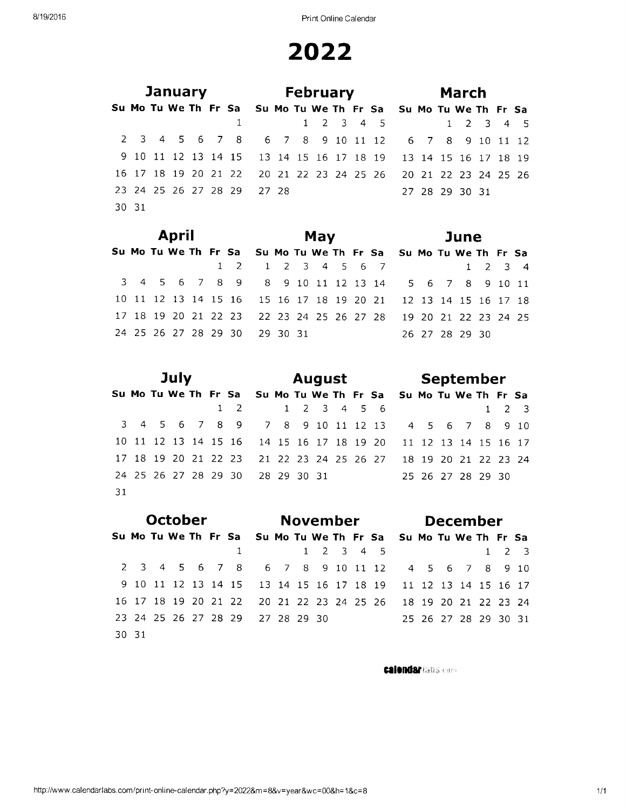Print Online Calendar

# 2022

|       |  |  | <b>January</b> and the same of the same of the same of the same of the same of the same of the same of the same of the same of the same of the same of the same of the same of the same of the same of the same of the same of the |                                                                |  | <b>February</b> |  |                     |  | <b>March</b>   |  |  |
|-------|--|--|------------------------------------------------------------------------------------------------------------------------------------------------------------------------------------------------------------------------------------|----------------------------------------------------------------|--|-----------------|--|---------------------|--|----------------|--|--|
|       |  |  |                                                                                                                                                                                                                                    | Su Mo Tu We Th Fr Sa Su Mo Tu We Th Fr Sa Su Mo Tu We Th Fr Sa |  |                 |  |                     |  |                |  |  |
|       |  |  |                                                                                                                                                                                                                                    |                                                                |  |                 |  | 1 2 3 4 5 1 2 3 4 5 |  |                |  |  |
|       |  |  |                                                                                                                                                                                                                                    | 2 3 4 5 6 7 8 6 7 8 9 10 11 12 6 7 8 9 10 11 12                |  |                 |  |                     |  |                |  |  |
|       |  |  |                                                                                                                                                                                                                                    | 9 10 11 12 13 14 15 13 14 15 16 17 18 19 13 14 15 16 17 18 19  |  |                 |  |                     |  |                |  |  |
|       |  |  |                                                                                                                                                                                                                                    | 16 17 18 19 20 21 22 20 21 22 23 24 25 26 20 21 22 23 24 25 26 |  |                 |  |                     |  |                |  |  |
|       |  |  |                                                                                                                                                                                                                                    | 23 24 25 26 27 28 29 27 28                                     |  |                 |  |                     |  | 27 28 29 30 31 |  |  |
| 30 31 |  |  |                                                                                                                                                                                                                                    |                                                                |  |                 |  |                     |  |                |  |  |

|  | April |  |                                                                |  | May |  |  |  | June           |  |                 |
|--|-------|--|----------------------------------------------------------------|--|-----|--|--|--|----------------|--|-----------------|
|  |       |  | Su Mo Tu We Th Fr Sa Su Mo Tu We Th Fr Sa Su Mo Tu We Th Fr Sa |  |     |  |  |  |                |  |                 |
|  |       |  | 1 2 1 2 3 4 5 6 7                                              |  |     |  |  |  |                |  | $1 \t2 \t3 \t4$ |
|  |       |  | 3 4 5 6 7 8 9 8 9 10 11 12 13 14 5 6 7 8 9 10 11               |  |     |  |  |  |                |  |                 |
|  |       |  | 10 11 12 13 14 15 16 15 16 17 18 19 20 21 12 13 14 15 16 17 18 |  |     |  |  |  |                |  |                 |
|  |       |  | 17 18 19 20 21 22 23 22 23 24 25 26 27 28 19 20 21 22 23 24 25 |  |     |  |  |  |                |  |                 |
|  |       |  | 24 25 26 27 28 29 30 29 30 31                                  |  |     |  |  |  | 26 27 28 29 30 |  |                 |

|    |  | July |  |            |                                                                |  |             |  | <b>August</b> |                   |  | September |                     |  |
|----|--|------|--|------------|----------------------------------------------------------------|--|-------------|--|---------------|-------------------|--|-----------|---------------------|--|
|    |  |      |  |            | Su Mo Tu We Th Fr Sa Su Mo Tu We Th Fr Sa Su Mo Tu We Th Fr Sa |  |             |  |               |                   |  |           |                     |  |
|    |  |      |  | $1\quad 2$ |                                                                |  | 1 2 3 4 5 6 |  |               |                   |  |           | $1 \quad 2 \quad 3$ |  |
|    |  |      |  |            | 3 4 5 6 7 8 9 7 8 9 10 11 12 13 4 5 6 7 8 9 10                 |  |             |  |               |                   |  |           |                     |  |
|    |  |      |  |            | 10 11 12 13 14 15 16 14 15 16 17 18 19 20 11 12 13 14 15 16 17 |  |             |  |               |                   |  |           |                     |  |
|    |  |      |  |            | 17 18 19 20 21 22 23 21 22 23 24 25 26 27 18 19 20 21 22 23 24 |  |             |  |               |                   |  |           |                     |  |
|    |  |      |  |            | 24 25 26 27 28 29 30 28 29 30 31                               |  |             |  |               | 25 26 27 28 29 30 |  |           |                     |  |
| 31 |  |      |  |            |                                                                |  |             |  |               |                   |  |           |                     |  |

|       | October |  |                      |                                                                |             | November            |  |  |  | <b>December</b>      |             |     |
|-------|---------|--|----------------------|----------------------------------------------------------------|-------------|---------------------|--|--|--|----------------------|-------------|-----|
|       |         |  |                      | Su Mo Tu We Th Fr Sa Su Mo Tu We Th Fr Sa Su Mo Tu We Th Fr Sa |             |                     |  |  |  |                      |             |     |
|       |         |  |                      |                                                                |             | $1 \t2 \t3 \t4 \t5$ |  |  |  |                      | $1 \quad 2$ |     |
|       |         |  |                      | 2 3 4 5 6 7 8 6 7 8 9 10 11 12 4 5 6 7 8                       |             |                     |  |  |  |                      |             | 910 |
| 910   |         |  |                      | 11 12 13 14 15 13 14 15 16 17 18 19 11 12 13 14 15 16 17       |             |                     |  |  |  |                      |             |     |
|       |         |  |                      | 16 17 18 19 20 21 22 20 21 22 23 24 25 26 18 19 20 21 22 23 24 |             |                     |  |  |  |                      |             |     |
|       |         |  | 23 24 25 26 27 28 29 |                                                                | 27 28 29 30 |                     |  |  |  | 25 26 27 28 29 30 31 |             |     |
| 30 31 |         |  |                      |                                                                |             |                     |  |  |  |                      |             |     |

**calendar** (absence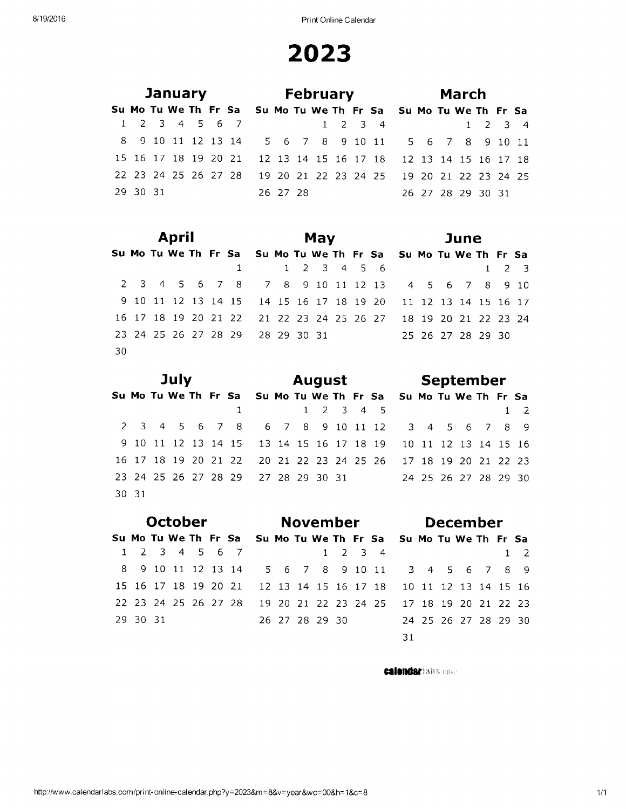|          |  |  | <b>January Example 1</b> |                                                                |  |  |  | <b>February Example 1</b> |  | March             |  |  |
|----------|--|--|--------------------------|----------------------------------------------------------------|--|--|--|---------------------------|--|-------------------|--|--|
|          |  |  |                          | Su Mo Tu We Th Fr Sa Su Mo Tu We Th Fr Sa Su Mo Tu We Th Fr Sa |  |  |  |                           |  |                   |  |  |
|          |  |  |                          | 1 2 3 4 5 6 7                                                  |  |  |  | $1 \t2 \t3 \t4$           |  | 1 2 3 4           |  |  |
|          |  |  |                          | 8 9 10 11 12 13 14 5 6 7 8 9 10 11 5 6 7 8 9 10 11             |  |  |  |                           |  |                   |  |  |
|          |  |  |                          | 15 16 17 18 19 20 21 12 13 14 15 16 17 18 12 13 14 15 16 17 18 |  |  |  |                           |  |                   |  |  |
|          |  |  |                          | 22 23 24 25 26 27 28 19 20 21 22 23 24 25 19 20 21 22 23 24 25 |  |  |  |                           |  |                   |  |  |
| 29 30 31 |  |  |                          | 26 27 28                                                       |  |  |  |                           |  | 26 27 28 29 30 31 |  |  |

|     |  | April |  |                                                                |  | May         |  |                   |  | June |  |             |
|-----|--|-------|--|----------------------------------------------------------------|--|-------------|--|-------------------|--|------|--|-------------|
|     |  |       |  | Su Mo Tu We Th Fr Sa Su Mo Tu We Th Fr Sa Su Mo Tu We Th Fr Sa |  |             |  |                   |  |      |  |             |
|     |  |       |  |                                                                |  | 1 2 3 4 5 6 |  |                   |  |      |  | $1 \t2 \t3$ |
|     |  |       |  | 2 3 4 5 6 7 8 7 8 9 10 11 12 13 4 5 6 7 8 9 10                 |  |             |  |                   |  |      |  |             |
|     |  |       |  | 9 10 11 12 13 14 15 14 15 16 17 18 19 20 11 12 13 14 15 16 17  |  |             |  |                   |  |      |  |             |
|     |  |       |  | 16 17 18 19 20 21 22 21 22 23 24 25 26 27 18 19 20 21 22 23 24 |  |             |  |                   |  |      |  |             |
|     |  |       |  | 23 24 25 26 27 28 29 28 29 30 31                               |  |             |  | 25 26 27 28 29 30 |  |      |  |             |
| -30 |  |       |  |                                                                |  |             |  |                   |  |      |  |             |

|       | July |  |                                                                |  |                     |  | August |                      |  | September |  |                |
|-------|------|--|----------------------------------------------------------------|--|---------------------|--|--------|----------------------|--|-----------|--|----------------|
|       |      |  | Su Mo Tu We Th Fr Sa Su Mo Tu We Th Fr Sa Su Mo Tu We Th Fr Sa |  |                     |  |        |                      |  |           |  |                |
|       |      |  |                                                                |  | $1 \t2 \t3 \t4 \t5$ |  |        |                      |  |           |  | $\overline{2}$ |
|       |      |  | 2 3 4 5 6 7 8 6 7 8 9 10 11 12 3 4 5 6 7 8 9                   |  |                     |  |        |                      |  |           |  |                |
|       |      |  | 9 10 11 12 13 14 15 13 14 15 16 17 18 19 10 11 12 13 14 15 16  |  |                     |  |        |                      |  |           |  |                |
|       |      |  | 16 17 18 19 20 21 22 20 21 22 23 24 25 26 17 18 19 20 21 22 23 |  |                     |  |        |                      |  |           |  |                |
|       |      |  | 23 24 25 26 27 28 29 27 28 29 30 31                            |  |                     |  |        | 24 25 26 27 28 29 30 |  |           |  |                |
| 30 31 |      |  |                                                                |  |                     |  |        |                      |  |           |  |                |

|               | <b>October</b> |  |                                                                |  |  | November       |                 |  |  |  |  | <b>December</b>      |  |  |
|---------------|----------------|--|----------------------------------------------------------------|--|--|----------------|-----------------|--|--|--|--|----------------------|--|--|
|               |                |  | Su Mo Tu We Th Fr Sa Su Mo Tu We Th Fr Sa Su Mo Tu We Th Fr Sa |  |  |                |                 |  |  |  |  |                      |  |  |
| 1 2 3 4 5 6 7 |                |  |                                                                |  |  |                | $1 \t2 \t3 \t4$ |  |  |  |  |                      |  |  |
|               |                |  | 8 9 10 11 12 13 14 5 6 7 8 9 10 11 3 4 5 6 7 8 9               |  |  |                |                 |  |  |  |  |                      |  |  |
|               |                |  | 15 16 17 18 19 20 21 12 13 14 15 16 17 18 10 11 12 13 14 15 16 |  |  |                |                 |  |  |  |  |                      |  |  |
|               |                |  | 22 23 24 25 26 27 28 19 20 21 22 23 24 25 17 18 19 20 21 22 23 |  |  |                |                 |  |  |  |  |                      |  |  |
| 29 30 31      |                |  |                                                                |  |  | 26 27 28 29 30 |                 |  |  |  |  | 24 25 26 27 28 29 30 |  |  |
|               |                |  |                                                                |  |  |                |                 |  |  |  |  |                      |  |  |

calendariabs.com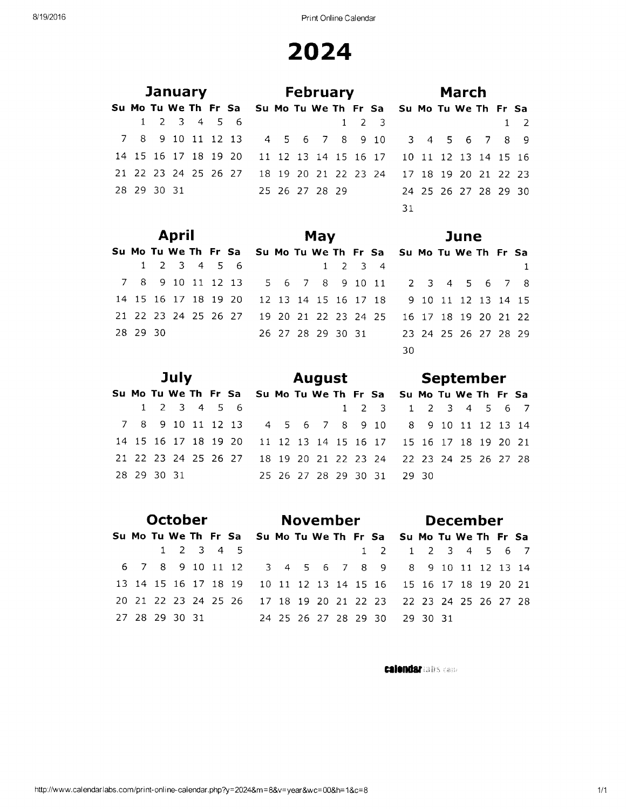|             | January     |  |                                                                |  |  | <b>February</b> |                   |  |  | March                |  |                |
|-------------|-------------|--|----------------------------------------------------------------|--|--|-----------------|-------------------|--|--|----------------------|--|----------------|
|             |             |  | Su Mo Tu We Th Fr Sa Su Mo Tu We Th Fr Sa Su Mo Tu We Th Fr Sa |  |  |                 |                   |  |  |                      |  |                |
|             | 1 2 3 4 5 6 |  |                                                                |  |  |                 | $1\quad 2\quad 3$ |  |  |                      |  | $\overline{2}$ |
|             |             |  | 7 8 9 10 11 12 13 4 5 6 7 8 9 10 3 4 5 6 7 8 9                 |  |  |                 |                   |  |  |                      |  |                |
|             |             |  | 14 15 16 17 18 19 20 11 12 13 14 15 16 17 10 11 12 13 14 15 16 |  |  |                 |                   |  |  |                      |  |                |
|             |             |  | 21 22 23 24 25 26 27 18 19 20 21 22 23 24 17 18 19 20 21 22 23 |  |  |                 |                   |  |  |                      |  |                |
| 28 29 30 31 |             |  | 25 26 27 28 29                                                 |  |  |                 |                   |  |  | 24 25 26 27 28 29 30 |  |                |
|             |             |  |                                                                |  |  |                 | 31                |  |  |                      |  |                |
|             |             |  |                                                                |  |  |                 |                   |  |  |                      |  |                |

|          | <b>April</b>            |  |                                                                |  | May |                 |  |  |                                        |  | June |  |  |
|----------|-------------------------|--|----------------------------------------------------------------|--|-----|-----------------|--|--|----------------------------------------|--|------|--|--|
|          |                         |  | Su Mo Tu We Th Fr Sa Su Mo Tu We Th Fr Sa Su Mo Tu We Th Fr Sa |  |     |                 |  |  |                                        |  |      |  |  |
|          | $1 \t2 \t3 \t4 \t5 \t6$ |  |                                                                |  |     | $1 \t2 \t3 \t4$ |  |  |                                        |  |      |  |  |
|          |                         |  | 7 8 9 10 11 12 13 5 6 7 8 9 10 11 2 3 4 5 6 7 8                |  |     |                 |  |  |                                        |  |      |  |  |
|          |                         |  | 14 15 16 17 18 19 20 12 13 14 15 16 17 18 9 10 11 12 13 14 15  |  |     |                 |  |  |                                        |  |      |  |  |
|          |                         |  | 21 22 23 24 25 26 27 19 20 21 22 23 24 25 16 17 18 19 20 21 22 |  |     |                 |  |  |                                        |  |      |  |  |
| 28 29 30 |                         |  |                                                                |  |     |                 |  |  | 26 27 28 29 30 31 23 24 25 26 27 28 29 |  |      |  |  |
|          |                         |  |                                                                |  |     |                 |  |  | 30                                     |  |      |  |  |

|             | July        |  |                                                                |  |  | <b>August</b>        |                     |       | September |  |  |
|-------------|-------------|--|----------------------------------------------------------------|--|--|----------------------|---------------------|-------|-----------|--|--|
|             |             |  | Su Mo Tu We Th Fr Sa Su Mo Tu We Th Fr Sa Su Mo Tu We Th Fr Sa |  |  |                      |                     |       |           |  |  |
|             | 1 2 3 4 5 6 |  |                                                                |  |  |                      | 1 2 3 1 2 3 4 5 6 7 |       |           |  |  |
|             |             |  | 7 8 9 10 11 12 13 4 5 6 7 8 9 10 8 9 10 11 12 13 14            |  |  |                      |                     |       |           |  |  |
|             |             |  | 14 15 16 17 18 19 20 11 12 13 14 15 16 17 15 16 17 18 19 20 21 |  |  |                      |                     |       |           |  |  |
|             |             |  | 21 22 23 24 25 26 27 18 19 20 21 22 23 24 22 23 24 25 26 27 28 |  |  |                      |                     |       |           |  |  |
| 28 29 30 31 |             |  |                                                                |  |  | 25 26 27 28 29 30 31 |                     | 29.30 |           |  |  |

|                | <b>October</b> |  |                     |                                                                |  | November |  |                   |  | <b>December</b> |  |  |
|----------------|----------------|--|---------------------|----------------------------------------------------------------|--|----------|--|-------------------|--|-----------------|--|--|
|                |                |  |                     | Su Mo Tu We Th Fr Sa Su Mo Tu We Th Fr Sa Su Mo Tu We Th Fr Sa |  |          |  |                   |  |                 |  |  |
|                |                |  | $1 \t2 \t3 \t4 \t5$ |                                                                |  |          |  | 1 2 1 2 3 4 5 6 7 |  |                 |  |  |
|                |                |  |                     | 6 7 8 9 10 11 12 3 4 5 6 7 8 9 8 9 10 11 12 13 14              |  |          |  |                   |  |                 |  |  |
|                |                |  |                     | 13 14 15 16 17 18 19 10 11 12 13 14 15 16 15 16 17 18 19 20 21 |  |          |  |                   |  |                 |  |  |
|                |                |  |                     | 20 21 22 23 24 25 26 17 18 19 20 21 22 23 22 23 24 25 26 27 28 |  |          |  |                   |  |                 |  |  |
| 27 28 29 30 31 |                |  |                     | 24 25 26 27 28 29 30 29 30 31                                  |  |          |  |                   |  |                 |  |  |

**calendar** and case